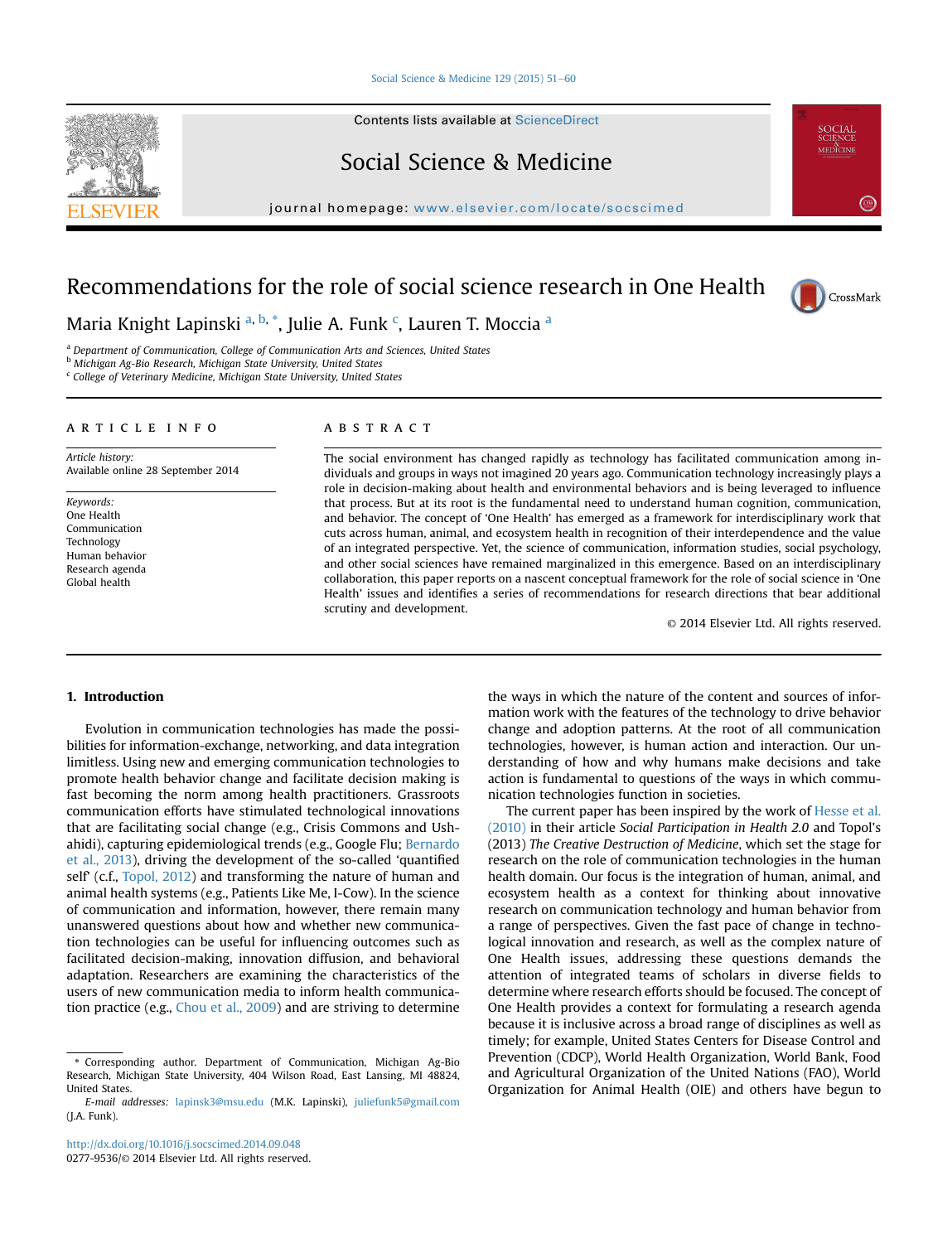#### Social Science & Medicine  $129$  (2015) 51-[60](http://dx.doi.org/10.1016/j.socscimed.2014.09.048)

Contents lists available at [ScienceDirect](www.sciencedirect.com/science/journal/02779536)

# Social Science & Medicine

journal homepage: [www.elsevier.com/locate/socscimed](http://www.elsevier.com/locate/socscimed)

# Recommendations for the role of social science research in One Health



Maria Knight Lapinski <sup>a, b, \*</sup>, Julie A. Funk <sup>c</sup>, Lauren T. Moccia <sup>a</sup>

<sup>a</sup> Department of Communication, College of Communication Arts and Sciences, United States

**b Michigan Ag-Bio Research, Michigan State University, United States** <sup>c</sup> College of Veterinary Medicine, Michigan State University, United States

### article info

Article history: Available online 28 September 2014

Keywords: One Health Communication Technology Human behavior Research agenda Global health

### **ABSTRACT**

The social environment has changed rapidly as technology has facilitated communication among individuals and groups in ways not imagined 20 years ago. Communication technology increasingly plays a role in decision-making about health and environmental behaviors and is being leveraged to influence that process. But at its root is the fundamental need to understand human cognition, communication, and behavior. The concept of 'One Health' has emerged as a framework for interdisciplinary work that cuts across human, animal, and ecosystem health in recognition of their interdependence and the value of an integrated perspective. Yet, the science of communication, information studies, social psychology, and other social sciences have remained marginalized in this emergence. Based on an interdisciplinary collaboration, this paper reports on a nascent conceptual framework for the role of social science in 'One Health' issues and identifies a series of recommendations for research directions that bear additional scrutiny and development.

© 2014 Elsevier Ltd. All rights reserved.

# 1. Introduction

Evolution in communication technologies has made the possibilities for information-exchange, networking, and data integration limitless. Using new and emerging communication technologies to promote health behavior change and facilitate decision making is fast becoming the norm among health practitioners. Grassroots communication efforts have stimulated technological innovations that are facilitating social change (e.g., Crisis Commons and Ushahidi), capturing epidemiological trends (e.g., Google Flu; [Bernardo](#page-8-0) [et al., 2013\)](#page-8-0), driving the development of the so-called 'quantified self' (c.f., [Topol, 2012](#page-9-0)) and transforming the nature of human and animal health systems (e.g., Patients Like Me, I-Cow). In the science of communication and information, however, there remain many unanswered questions about how and whether new communication technologies can be useful for influencing outcomes such as facilitated decision-making, innovation diffusion, and behavioral adaptation. Researchers are examining the characteristics of the users of new communication media to inform health communication practice (e.g., [Chou et al., 2009](#page-8-0)) and are striving to determine the ways in which the nature of the content and sources of information work with the features of the technology to drive behavior change and adoption patterns. At the root of all communication technologies, however, is human action and interaction. Our understanding of how and why humans make decisions and take action is fundamental to questions of the ways in which communication technologies function in societies.

The current paper has been inspired by the work of [Hesse et al.](#page-9-0) [\(2010\)](#page-9-0) in their article Social Participation in Health 2.0 and Topol's (2013) The Creative Destruction of Medicine, which set the stage for research on the role of communication technologies in the human health domain. Our focus is the integration of human, animal, and ecosystem health as a context for thinking about innovative research on communication technology and human behavior from a range of perspectives. Given the fast pace of change in technological innovation and research, as well as the complex nature of One Health issues, addressing these questions demands the attention of integrated teams of scholars in diverse fields to determine where research efforts should be focused. The concept of One Health provides a context for formulating a research agenda because it is inclusive across a broad range of disciplines as well as timely; for example, United States Centers for Disease Control and Prevention (CDCP), World Health Organization, World Bank, Food and Agricultural Organization of the United Nations (FAO), World Organization for Animal Health (OIE) and others have begun to



<sup>\*</sup> Corresponding author. Department of Communication, Michigan Ag-Bio Research, Michigan State University, 404 Wilson Road, East Lansing, MI 48824, United States.

E-mail addresses: [lapinsk3@msu.edu](mailto:lapinsk3@msu.edu) (M.K. Lapinski), [juliefunk5@gmail.com](mailto:juliefunk5@gmail.com) (J.A. Funk).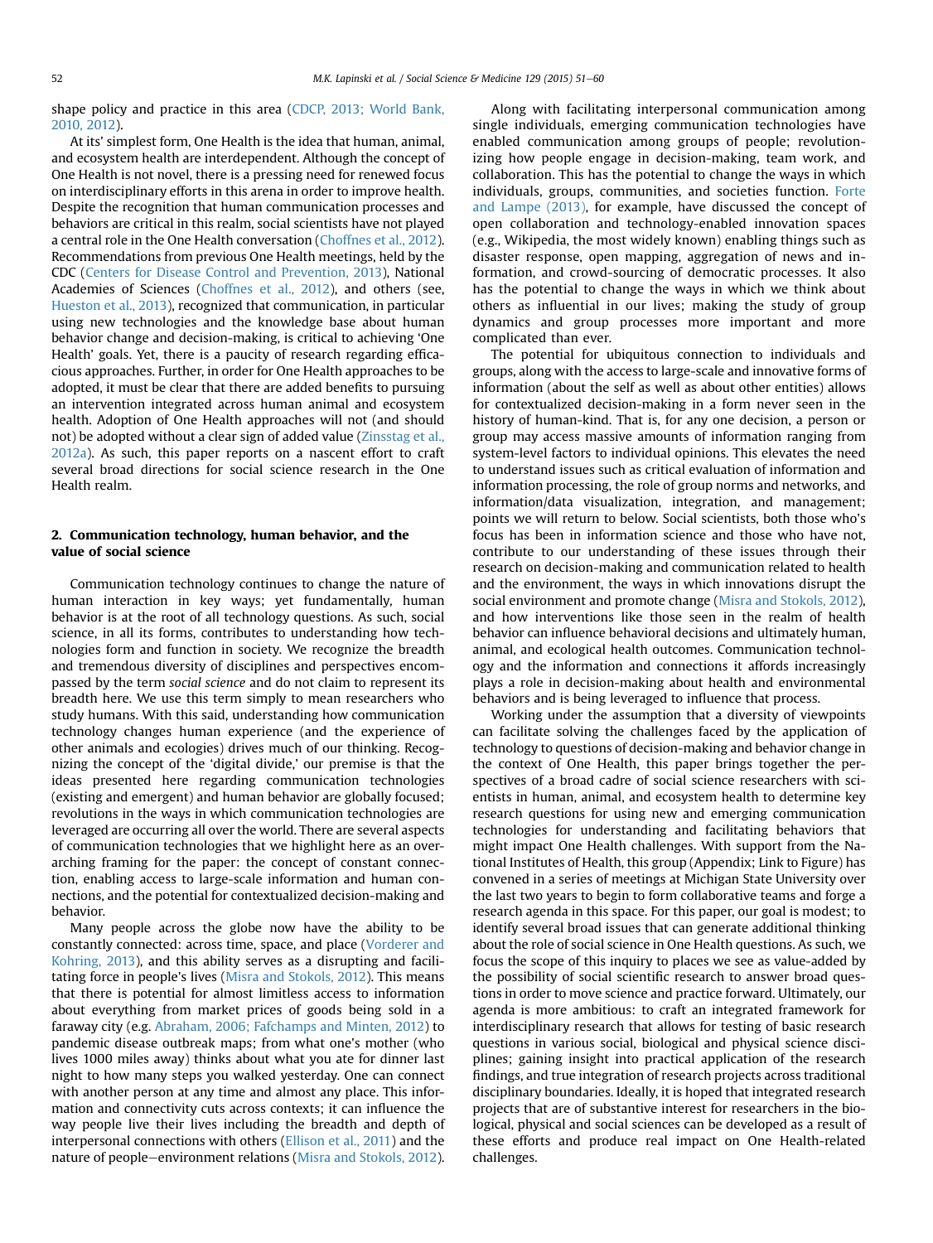shape policy and practice in this area ([CDCP, 2013; World Bank,](#page-8-0) [2010, 2012\)](#page-8-0).

At its' simplest form, One Health is the idea that human, animal, and ecosystem health are interdependent. Although the concept of One Health is not novel, there is a pressing need for renewed focus on interdisciplinary efforts in this arena in order to improve health. Despite the recognition that human communication processes and behaviors are critical in this realm, social scientists have not played a central role in the One Health conversation [\(Choffnes et al., 2012\)](#page-8-0). Recommendations from previous One Health meetings, held by the CDC ([Centers for Disease Control and Prevention, 2013\)](#page-8-0), National Academies of Sciences ([Choffnes et al., 2012\)](#page-8-0), and others (see, [Hueston et al., 2013\)](#page-9-0), recognized that communication, in particular using new technologies and the knowledge base about human behavior change and decision-making, is critical to achieving 'One Health' goals. Yet, there is a paucity of research regarding efficacious approaches. Further, in order for One Health approaches to be adopted, it must be clear that there are added benefits to pursuing an intervention integrated across human animal and ecosystem health. Adoption of One Health approaches will not (and should not) be adopted without a clear sign of added value ([Zinsstag et al.,](#page-9-0) [2012a](#page-9-0)). As such, this paper reports on a nascent effort to craft several broad directions for social science research in the One Health realm.

# 2. Communication technology, human behavior, and the value of social science

Communication technology continues to change the nature of human interaction in key ways; yet fundamentally, human behavior is at the root of all technology questions. As such, social science, in all its forms, contributes to understanding how technologies form and function in society. We recognize the breadth and tremendous diversity of disciplines and perspectives encompassed by the term social science and do not claim to represent its breadth here. We use this term simply to mean researchers who study humans. With this said, understanding how communication technology changes human experience (and the experience of other animals and ecologies) drives much of our thinking. Recognizing the concept of the 'digital divide,' our premise is that the ideas presented here regarding communication technologies (existing and emergent) and human behavior are globally focused; revolutions in the ways in which communication technologies are leveraged are occurring all over the world. There are several aspects of communication technologies that we highlight here as an overarching framing for the paper: the concept of constant connection, enabling access to large-scale information and human connections, and the potential for contextualized decision-making and behavior.

Many people across the globe now have the ability to be constantly connected: across time, space, and place ([Vorderer and](#page-9-0) [Kohring, 2013](#page-9-0)), and this ability serves as a disrupting and facilitating force in people's lives [\(Misra and Stokols, 2012\)](#page-9-0). This means that there is potential for almost limitless access to information about everything from market prices of goods being sold in a faraway city (e.g. [Abraham, 2006; Fafchamps and Minten, 2012\)](#page-8-0) to pandemic disease outbreak maps; from what one's mother (who lives 1000 miles away) thinks about what you ate for dinner last night to how many steps you walked yesterday. One can connect with another person at any time and almost any place. This information and connectivity cuts across contexts; it can influence the way people live their lives including the breadth and depth of interpersonal connections with others [\(Ellison et al., 2011\)](#page-8-0) and the nature of people–environment relations ([Misra and Stokols, 2012\)](#page-9-0).

Along with facilitating interpersonal communication among single individuals, emerging communication technologies have enabled communication among groups of people; revolutionizing how people engage in decision-making, team work, and collaboration. This has the potential to change the ways in which individuals, groups, communities, and societies function. [Forte](#page-9-0) [and Lampe \(2013\),](#page-9-0) for example, have discussed the concept of open collaboration and technology-enabled innovation spaces (e.g., Wikipedia, the most widely known) enabling things such as disaster response, open mapping, aggregation of news and information, and crowd-sourcing of democratic processes. It also has the potential to change the ways in which we think about others as influential in our lives; making the study of group dynamics and group processes more important and more complicated than ever.

The potential for ubiquitous connection to individuals and groups, along with the access to large-scale and innovative forms of information (about the self as well as about other entities) allows for contextualized decision-making in a form never seen in the history of human-kind. That is, for any one decision, a person or group may access massive amounts of information ranging from system-level factors to individual opinions. This elevates the need to understand issues such as critical evaluation of information and information processing, the role of group norms and networks, and information/data visualization, integration, and management; points we will return to below. Social scientists, both those who's focus has been in information science and those who have not, contribute to our understanding of these issues through their research on decision-making and communication related to health and the environment, the ways in which innovations disrupt the social environment and promote change ([Misra and Stokols, 2012\)](#page-9-0), and how interventions like those seen in the realm of health behavior can influence behavioral decisions and ultimately human, animal, and ecological health outcomes. Communication technology and the information and connections it affords increasingly plays a role in decision-making about health and environmental behaviors and is being leveraged to influence that process.

Working under the assumption that a diversity of viewpoints can facilitate solving the challenges faced by the application of technology to questions of decision-making and behavior change in the context of One Health, this paper brings together the perspectives of a broad cadre of social science researchers with scientists in human, animal, and ecosystem health to determine key research questions for using new and emerging communication technologies for understanding and facilitating behaviors that might impact One Health challenges. With support from the National Institutes of Health, this group (Appendix; Link to Figure) has convened in a series of meetings at Michigan State University over the last two years to begin to form collaborative teams and forge a research agenda in this space. For this paper, our goal is modest; to identify several broad issues that can generate additional thinking about the role of social science in One Health questions. As such, we focus the scope of this inquiry to places we see as value-added by the possibility of social scientific research to answer broad questions in order to move science and practice forward. Ultimately, our agenda is more ambitious: to craft an integrated framework for interdisciplinary research that allows for testing of basic research questions in various social, biological and physical science disciplines; gaining insight into practical application of the research findings, and true integration of research projects across traditional disciplinary boundaries. Ideally, it is hoped that integrated research projects that are of substantive interest for researchers in the biological, physical and social sciences can be developed as a result of these efforts and produce real impact on One Health-related challenges.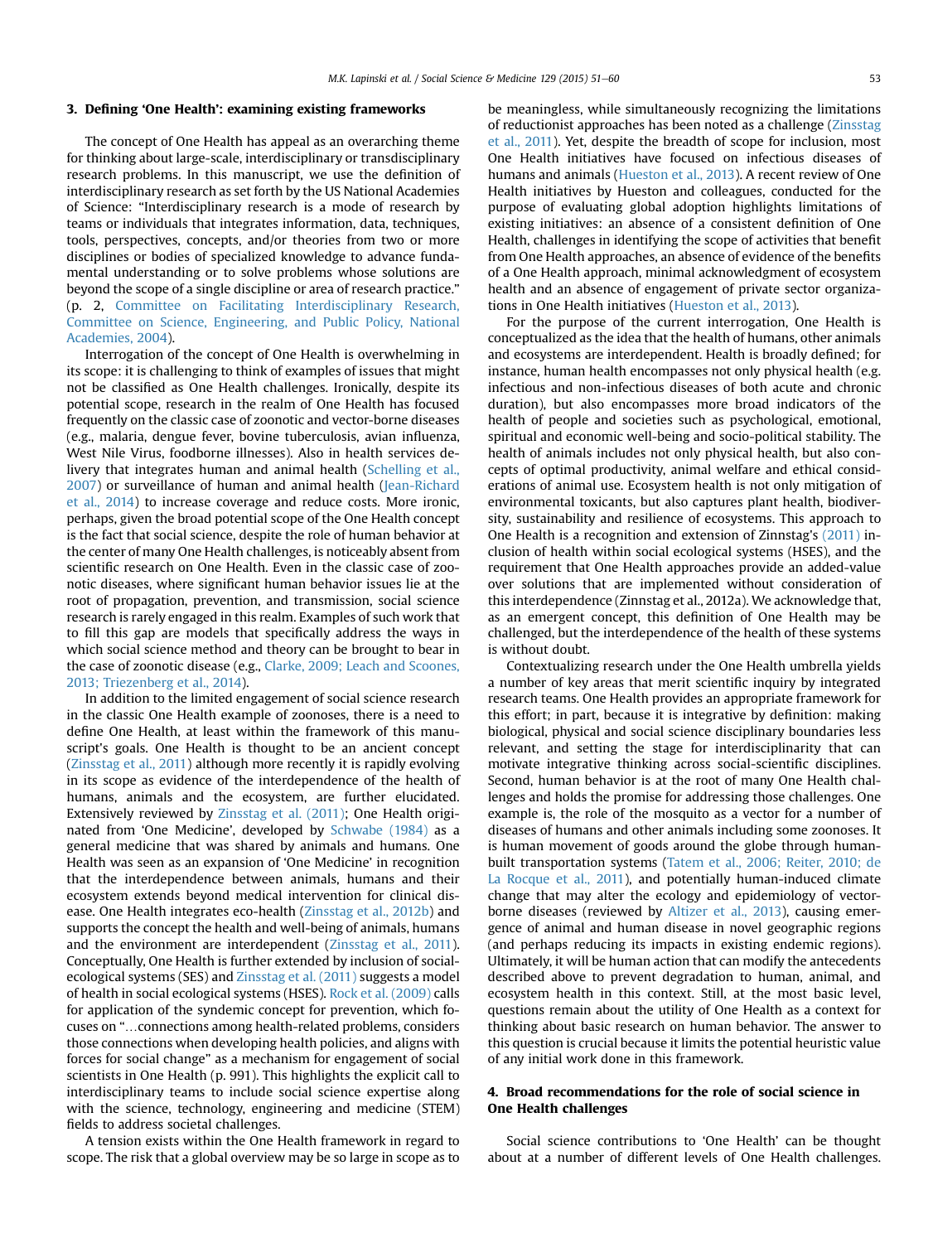#### 3. Defining 'One Health': examining existing frameworks

The concept of One Health has appeal as an overarching theme for thinking about large-scale, interdisciplinary or transdisciplinary research problems. In this manuscript, we use the definition of interdisciplinary research as set forth by the US National Academies of Science: "Interdisciplinary research is a mode of research by teams or individuals that integrates information, data, techniques, tools, perspectives, concepts, and/or theories from two or more disciplines or bodies of specialized knowledge to advance fundamental understanding or to solve problems whose solutions are beyond the scope of a single discipline or area of research practice." (p. 2, [Committee on Facilitating Interdisciplinary Research,](#page-8-0) [Committee on Science, Engineering, and Public Policy, National](#page-8-0) [Academies, 2004\)](#page-8-0).

Interrogation of the concept of One Health is overwhelming in its scope: it is challenging to think of examples of issues that might not be classified as One Health challenges. Ironically, despite its potential scope, research in the realm of One Health has focused frequently on the classic case of zoonotic and vector-borne diseases (e.g., malaria, dengue fever, bovine tuberculosis, avian influenza, West Nile Virus, foodborne illnesses). Also in health services delivery that integrates human and animal health ([Schelling et al.,](#page-9-0) [2007\)](#page-9-0) or surveillance of human and animal health [\(Jean-Richard](#page-9-0) [et al., 2014\)](#page-9-0) to increase coverage and reduce costs. More ironic, perhaps, given the broad potential scope of the One Health concept is the fact that social science, despite the role of human behavior at the center of many One Health challenges, is noticeably absent from scientific research on One Health. Even in the classic case of zoonotic diseases, where significant human behavior issues lie at the root of propagation, prevention, and transmission, social science research is rarely engaged in this realm. Examples of such work that to fill this gap are models that specifically address the ways in which social science method and theory can be brought to bear in the case of zoonotic disease (e.g., [Clarke, 2009; Leach and Scoones,](#page-8-0) [2013; Triezenberg et al., 2014](#page-8-0)).

In addition to the limited engagement of social science research in the classic One Health example of zoonoses, there is a need to define One Health, at least within the framework of this manuscript's goals. One Health is thought to be an ancient concept ([Zinsstag et al., 2011](#page-9-0)) although more recently it is rapidly evolving in its scope as evidence of the interdependence of the health of humans, animals and the ecosystem, are further elucidated. Extensively reviewed by [Zinsstag et al. \(2011\);](#page-9-0) One Health originated from 'One Medicine', developed by [Schwabe \(1984\)](#page-9-0) as a general medicine that was shared by animals and humans. One Health was seen as an expansion of 'One Medicine' in recognition that the interdependence between animals, humans and their ecosystem extends beyond medical intervention for clinical disease. One Health integrates eco-health ([Zinsstag et al., 2012b\)](#page-9-0) and supports the concept the health and well-being of animals, humans and the environment are interdependent ([Zinsstag et al., 2011\)](#page-9-0). Conceptually, One Health is further extended by inclusion of socialecological systems (SES) and [Zinsstag et al. \(2011\)](#page-9-0) suggests a model of health in social ecological systems (HSES). [Rock et al. \(2009\)](#page-9-0) calls for application of the syndemic concept for prevention, which focuses on "…connections among health-related problems, considers those connections when developing health policies, and aligns with forces for social change" as a mechanism for engagement of social scientists in One Health (p. 991). This highlights the explicit call to interdisciplinary teams to include social science expertise along with the science, technology, engineering and medicine (STEM) fields to address societal challenges.

A tension exists within the One Health framework in regard to scope. The risk that a global overview may be so large in scope as to be meaningless, while simultaneously recognizing the limitations of reductionist approaches has been noted as a challenge ([Zinsstag](#page-9-0) [et al., 2011](#page-9-0)). Yet, despite the breadth of scope for inclusion, most One Health initiatives have focused on infectious diseases of humans and animals [\(Hueston et al., 2013](#page-9-0)). A recent review of One Health initiatives by Hueston and colleagues, conducted for the purpose of evaluating global adoption highlights limitations of existing initiatives: an absence of a consistent definition of One Health, challenges in identifying the scope of activities that benefit from One Health approaches, an absence of evidence of the benefits of a One Health approach, minimal acknowledgment of ecosystem health and an absence of engagement of private sector organizations in One Health initiatives ([Hueston et al., 2013](#page-9-0)).

For the purpose of the current interrogation, One Health is conceptualized as the idea that the health of humans, other animals and ecosystems are interdependent. Health is broadly defined; for instance, human health encompasses not only physical health (e.g. infectious and non-infectious diseases of both acute and chronic duration), but also encompasses more broad indicators of the health of people and societies such as psychological, emotional, spiritual and economic well-being and socio-political stability. The health of animals includes not only physical health, but also concepts of optimal productivity, animal welfare and ethical considerations of animal use. Ecosystem health is not only mitigation of environmental toxicants, but also captures plant health, biodiversity, sustainability and resilience of ecosystems. This approach to One Health is a recognition and extension of Zinnstag's [\(2011\)](#page-9-0) inclusion of health within social ecological systems (HSES), and the requirement that One Health approaches provide an added-value over solutions that are implemented without consideration of this interdependence (Zinnstag et al., 2012a). We acknowledge that, as an emergent concept, this definition of One Health may be challenged, but the interdependence of the health of these systems is without doubt.

Contextualizing research under the One Health umbrella yields a number of key areas that merit scientific inquiry by integrated research teams. One Health provides an appropriate framework for this effort; in part, because it is integrative by definition: making biological, physical and social science disciplinary boundaries less relevant, and setting the stage for interdisciplinarity that can motivate integrative thinking across social-scientific disciplines. Second, human behavior is at the root of many One Health challenges and holds the promise for addressing those challenges. One example is, the role of the mosquito as a vector for a number of diseases of humans and other animals including some zoonoses. It is human movement of goods around the globe through humanbuilt transportation systems [\(Tatem et al., 2006; Reiter, 2010; de](#page-9-0) [La Rocque et al., 2011\)](#page-9-0), and potentially human-induced climate change that may alter the ecology and epidemiology of vectorborne diseases (reviewed by [Altizer et al., 2013](#page-8-0)), causing emergence of animal and human disease in novel geographic regions (and perhaps reducing its impacts in existing endemic regions). Ultimately, it will be human action that can modify the antecedents described above to prevent degradation to human, animal, and ecosystem health in this context. Still, at the most basic level, questions remain about the utility of One Health as a context for thinking about basic research on human behavior. The answer to this question is crucial because it limits the potential heuristic value of any initial work done in this framework.

## 4. Broad recommendations for the role of social science in One Health challenges

Social science contributions to 'One Health' can be thought about at a number of different levels of One Health challenges.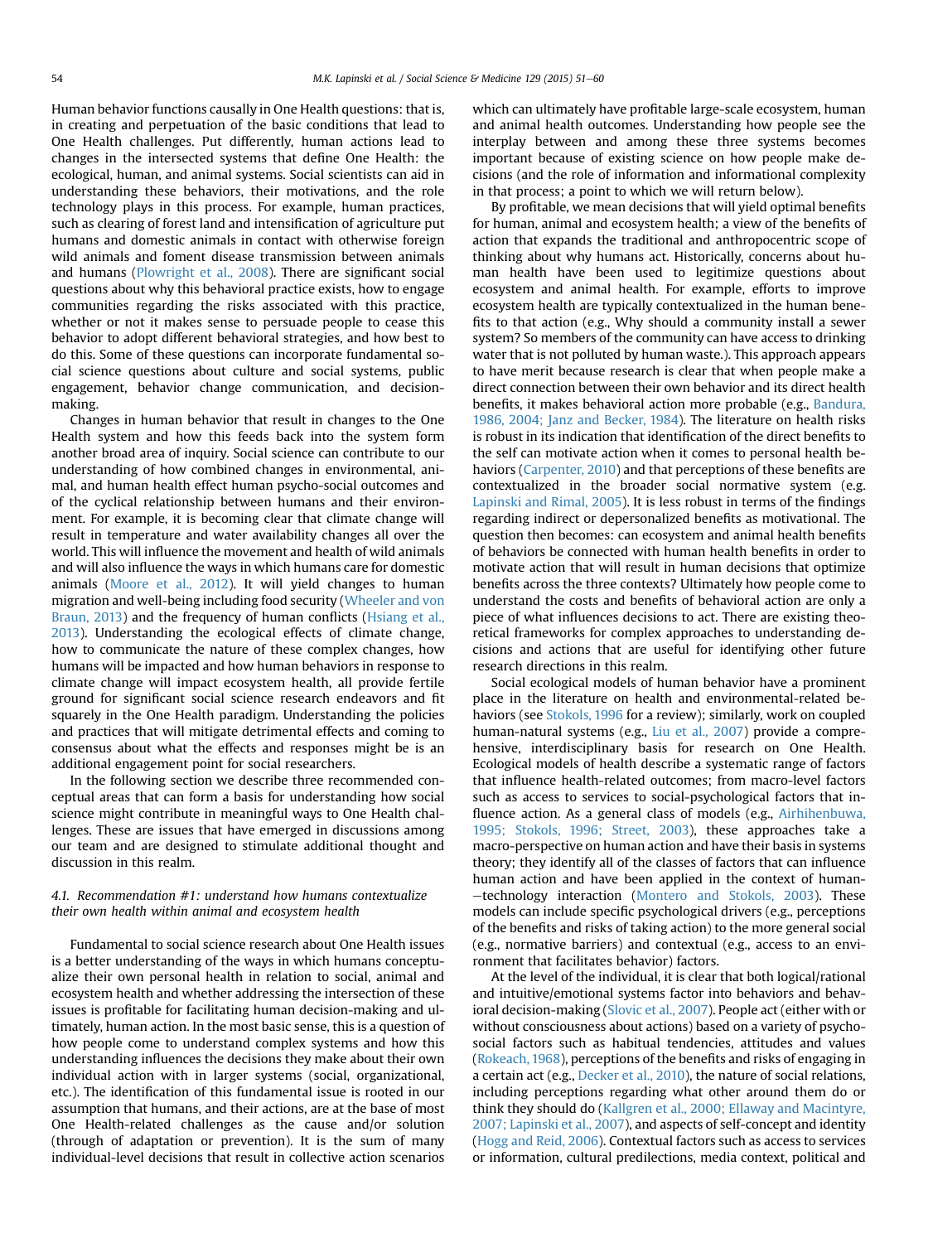Human behavior functions causally in One Health questions: that is, in creating and perpetuation of the basic conditions that lead to One Health challenges. Put differently, human actions lead to changes in the intersected systems that define One Health: the ecological, human, and animal systems. Social scientists can aid in understanding these behaviors, their motivations, and the role technology plays in this process. For example, human practices, such as clearing of forest land and intensification of agriculture put humans and domestic animals in contact with otherwise foreign wild animals and foment disease transmission between animals and humans [\(Plowright et al., 2008](#page-9-0)). There are significant social questions about why this behavioral practice exists, how to engage communities regarding the risks associated with this practice, whether or not it makes sense to persuade people to cease this behavior to adopt different behavioral strategies, and how best to do this. Some of these questions can incorporate fundamental social science questions about culture and social systems, public engagement, behavior change communication, and decisionmaking.

Changes in human behavior that result in changes to the One Health system and how this feeds back into the system form another broad area of inquiry. Social science can contribute to our understanding of how combined changes in environmental, animal, and human health effect human psycho-social outcomes and of the cyclical relationship between humans and their environment. For example, it is becoming clear that climate change will result in temperature and water availability changes all over the world. This will influence the movement and health of wild animals and will also influence the ways in which humans care for domestic animals [\(Moore et al., 2012\)](#page-9-0). It will yield changes to human migration and well-being including food security [\(Wheeler and von](#page-9-0) [Braun, 2013](#page-9-0)) and the frequency of human conflicts [\(Hsiang et al.,](#page-9-0) [2013](#page-9-0)). Understanding the ecological effects of climate change, how to communicate the nature of these complex changes, how humans will be impacted and how human behaviors in response to climate change will impact ecosystem health, all provide fertile ground for significant social science research endeavors and fit squarely in the One Health paradigm. Understanding the policies and practices that will mitigate detrimental effects and coming to consensus about what the effects and responses might be is an additional engagement point for social researchers.

In the following section we describe three recommended conceptual areas that can form a basis for understanding how social science might contribute in meaningful ways to One Health challenges. These are issues that have emerged in discussions among our team and are designed to stimulate additional thought and discussion in this realm.

## 4.1. Recommendation #1: understand how humans contextualize their own health within animal and ecosystem health

Fundamental to social science research about One Health issues is a better understanding of the ways in which humans conceptualize their own personal health in relation to social, animal and ecosystem health and whether addressing the intersection of these issues is profitable for facilitating human decision-making and ultimately, human action. In the most basic sense, this is a question of how people come to understand complex systems and how this understanding influences the decisions they make about their own individual action with in larger systems (social, organizational, etc.). The identification of this fundamental issue is rooted in our assumption that humans, and their actions, are at the base of most One Health-related challenges as the cause and/or solution (through of adaptation or prevention). It is the sum of many individual-level decisions that result in collective action scenarios which can ultimately have profitable large-scale ecosystem, human and animal health outcomes. Understanding how people see the interplay between and among these three systems becomes important because of existing science on how people make decisions (and the role of information and informational complexity in that process; a point to which we will return below).

By profitable, we mean decisions that will yield optimal benefits for human, animal and ecosystem health; a view of the benefits of action that expands the traditional and anthropocentric scope of thinking about why humans act. Historically, concerns about human health have been used to legitimize questions about ecosystem and animal health. For example, efforts to improve ecosystem health are typically contextualized in the human benefits to that action (e.g., Why should a community install a sewer system? So members of the community can have access to drinking water that is not polluted by human waste.). This approach appears to have merit because research is clear that when people make a direct connection between their own behavior and its direct health benefits, it makes behavioral action more probable (e.g., [Bandura,](#page-8-0) [1986, 2004; Janz and Becker, 1984](#page-8-0)). The literature on health risks is robust in its indication that identification of the direct benefits to the self can motivate action when it comes to personal health behaviors [\(Carpenter, 2010](#page-8-0)) and that perceptions of these benefits are contextualized in the broader social normative system (e.g. [Lapinski and Rimal, 2005](#page-9-0)). It is less robust in terms of the findings regarding indirect or depersonalized benefits as motivational. The question then becomes: can ecosystem and animal health benefits of behaviors be connected with human health benefits in order to motivate action that will result in human decisions that optimize benefits across the three contexts? Ultimately how people come to understand the costs and benefits of behavioral action are only a piece of what influences decisions to act. There are existing theoretical frameworks for complex approaches to understanding decisions and actions that are useful for identifying other future research directions in this realm.

Social ecological models of human behavior have a prominent place in the literature on health and environmental-related behaviors (see [Stokols, 1996](#page-9-0) for a review); similarly, work on coupled human-natural systems (e.g., [Liu et al., 2007\)](#page-9-0) provide a comprehensive, interdisciplinary basis for research on One Health. Ecological models of health describe a systematic range of factors that influence health-related outcomes; from macro-level factors such as access to services to social-psychological factors that influence action. As a general class of models (e.g., [Airhihenbuwa,](#page-8-0) [1995; Stokols, 1996; Street, 2003](#page-8-0)), these approaches take a macro-perspective on human action and have their basis in systems theory; they identify all of the classes of factors that can influence human action and have been applied in the context of human--technology interaction [\(Montero and Stokols, 2003\)](#page-9-0). These models can include specific psychological drivers (e.g., perceptions of the benefits and risks of taking action) to the more general social (e.g., normative barriers) and contextual (e.g., access to an environment that facilitates behavior) factors.

At the level of the individual, it is clear that both logical/rational and intuitive/emotional systems factor into behaviors and behavioral decision-making [\(Slovic et al., 2007](#page-9-0)). People act (either with or without consciousness about actions) based on a variety of psychosocial factors such as habitual tendencies, attitudes and values ([Rokeach, 1968\)](#page-9-0), perceptions of the benefits and risks of engaging in a certain act (e.g., [Decker et al., 2010](#page-8-0)), the nature of social relations, including perceptions regarding what other around them do or think they should do [\(Kallgren et al., 2000; Ellaway and Macintyre,](#page-9-0) [2007; Lapinski et al., 2007\)](#page-9-0), and aspects of self-concept and identity ([Hogg and Reid, 2006](#page-9-0)). Contextual factors such as access to services or information, cultural predilections, media context, political and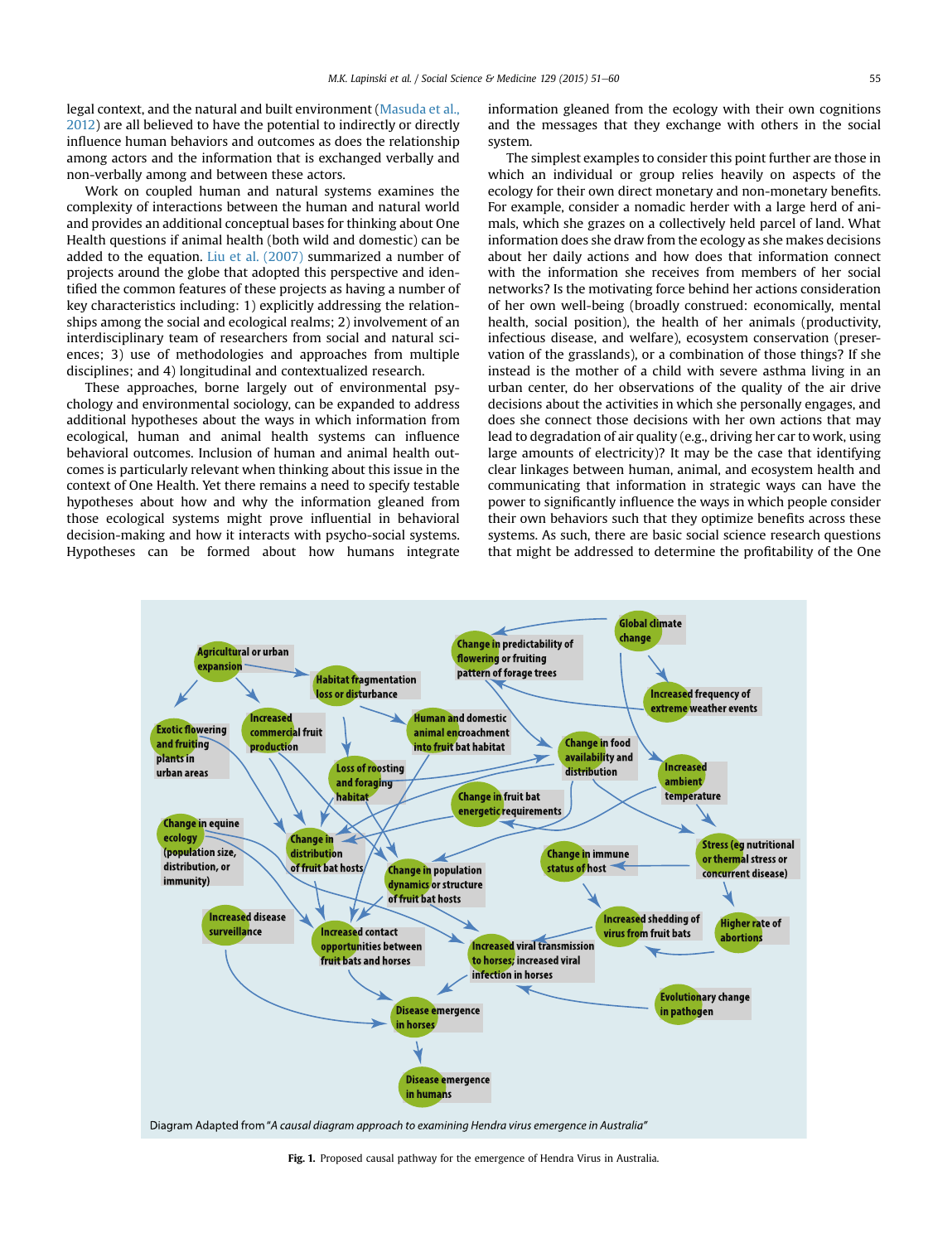<span id="page-4-0"></span>legal context, and the natural and built environment ([Masuda et al.,](#page-9-0) [2012\)](#page-9-0) are all believed to have the potential to indirectly or directly influence human behaviors and outcomes as does the relationship among actors and the information that is exchanged verbally and non-verbally among and between these actors.

Work on coupled human and natural systems examines the complexity of interactions between the human and natural world and provides an additional conceptual bases for thinking about One Health questions if animal health (both wild and domestic) can be added to the equation. [Liu et al. \(2007\)](#page-9-0) summarized a number of projects around the globe that adopted this perspective and identified the common features of these projects as having a number of key characteristics including: 1) explicitly addressing the relationships among the social and ecological realms; 2) involvement of an interdisciplinary team of researchers from social and natural sciences; 3) use of methodologies and approaches from multiple disciplines; and 4) longitudinal and contextualized research.

These approaches, borne largely out of environmental psychology and environmental sociology, can be expanded to address additional hypotheses about the ways in which information from ecological, human and animal health systems can influence behavioral outcomes. Inclusion of human and animal health outcomes is particularly relevant when thinking about this issue in the context of One Health. Yet there remains a need to specify testable hypotheses about how and why the information gleaned from those ecological systems might prove influential in behavioral decision-making and how it interacts with psycho-social systems. Hypotheses can be formed about how humans integrate information gleaned from the ecology with their own cognitions and the messages that they exchange with others in the social system.

The simplest examples to consider this point further are those in which an individual or group relies heavily on aspects of the ecology for their own direct monetary and non-monetary benefits. For example, consider a nomadic herder with a large herd of animals, which she grazes on a collectively held parcel of land. What information does she draw from the ecology as she makes decisions about her daily actions and how does that information connect with the information she receives from members of her social networks? Is the motivating force behind her actions consideration of her own well-being (broadly construed: economically, mental health, social position), the health of her animals (productivity, infectious disease, and welfare), ecosystem conservation (preservation of the grasslands), or a combination of those things? If she instead is the mother of a child with severe asthma living in an urban center, do her observations of the quality of the air drive decisions about the activities in which she personally engages, and does she connect those decisions with her own actions that may lead to degradation of air quality (e.g., driving her car to work, using large amounts of electricity)? It may be the case that identifying clear linkages between human, animal, and ecosystem health and communicating that information in strategic ways can have the power to significantly influence the ways in which people consider their own behaviors such that they optimize benefits across these systems. As such, there are basic social science research questions that might be addressed to determine the profitability of the One



Diagram Adapted from "A causal diagram approach to examining Hendra virus emergence in Australia"

Fig. 1. Proposed causal pathway for the emergence of Hendra Virus in Australia.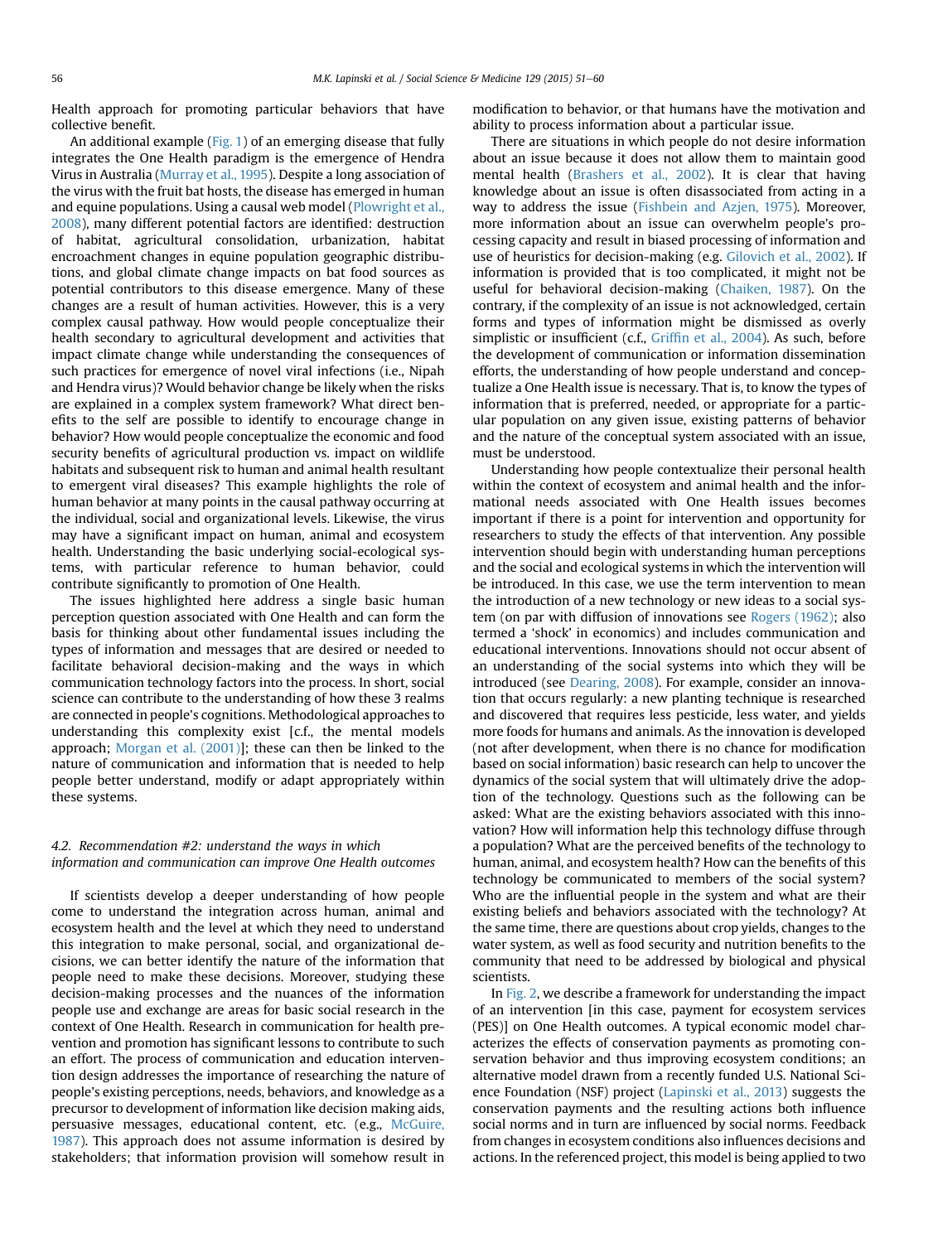Health approach for promoting particular behaviors that have collective benefit.

An additional example ([Fig. 1\)](#page-4-0) of an emerging disease that fully integrates the One Health paradigm is the emergence of Hendra Virus in Australia [\(Murray et al., 1995](#page-9-0)). Despite a long association of the virus with the fruit bat hosts, the disease has emerged in human and equine populations. Using a causal web model ([Plowright et al.,](#page-9-0) [2008](#page-9-0)), many different potential factors are identified: destruction of habitat, agricultural consolidation, urbanization, habitat encroachment changes in equine population geographic distributions, and global climate change impacts on bat food sources as potential contributors to this disease emergence. Many of these changes are a result of human activities. However, this is a very complex causal pathway. How would people conceptualize their health secondary to agricultural development and activities that impact climate change while understanding the consequences of such practices for emergence of novel viral infections (i.e., Nipah and Hendra virus)? Would behavior change be likely when the risks are explained in a complex system framework? What direct benefits to the self are possible to identify to encourage change in behavior? How would people conceptualize the economic and food security benefits of agricultural production vs. impact on wildlife habitats and subsequent risk to human and animal health resultant to emergent viral diseases? This example highlights the role of human behavior at many points in the causal pathway occurring at the individual, social and organizational levels. Likewise, the virus may have a significant impact on human, animal and ecosystem health. Understanding the basic underlying social-ecological systems, with particular reference to human behavior, could contribute significantly to promotion of One Health.

The issues highlighted here address a single basic human perception question associated with One Health and can form the basis for thinking about other fundamental issues including the types of information and messages that are desired or needed to facilitate behavioral decision-making and the ways in which communication technology factors into the process. In short, social science can contribute to the understanding of how these 3 realms are connected in people's cognitions. Methodological approaches to understanding this complexity exist [c.f., the mental models approach; [Morgan et al. \(2001\)](#page-9-0)]; these can then be linked to the nature of communication and information that is needed to help people better understand, modify or adapt appropriately within these systems.

## 4.2. Recommendation #2: understand the ways in which information and communication can improve One Health outcomes

If scientists develop a deeper understanding of how people come to understand the integration across human, animal and ecosystem health and the level at which they need to understand this integration to make personal, social, and organizational decisions, we can better identify the nature of the information that people need to make these decisions. Moreover, studying these decision-making processes and the nuances of the information people use and exchange are areas for basic social research in the context of One Health. Research in communication for health prevention and promotion has significant lessons to contribute to such an effort. The process of communication and education intervention design addresses the importance of researching the nature of people's existing perceptions, needs, behaviors, and knowledge as a precursor to development of information like decision making aids, persuasive messages, educational content, etc. (e.g., [McGuire,](#page-9-0) [1987](#page-9-0)). This approach does not assume information is desired by stakeholders; that information provision will somehow result in modification to behavior, or that humans have the motivation and ability to process information about a particular issue.

There are situations in which people do not desire information about an issue because it does not allow them to maintain good mental health ([Brashers et al., 2002](#page-8-0)). It is clear that having knowledge about an issue is often disassociated from acting in a way to address the issue ([Fishbein and Azjen, 1975\)](#page-8-0). Moreover, more information about an issue can overwhelm people's processing capacity and result in biased processing of information and use of heuristics for decision-making (e.g. [Gilovich et al., 2002](#page-9-0)). If information is provided that is too complicated, it might not be useful for behavioral decision-making [\(Chaiken, 1987](#page-8-0)). On the contrary, if the complexity of an issue is not acknowledged, certain forms and types of information might be dismissed as overly simplistic or insufficient (c.f., Griffi[n et al., 2004](#page-9-0)). As such, before the development of communication or information dissemination efforts, the understanding of how people understand and conceptualize a One Health issue is necessary. That is, to know the types of information that is preferred, needed, or appropriate for a particular population on any given issue, existing patterns of behavior and the nature of the conceptual system associated with an issue, must be understood.

Understanding how people contextualize their personal health within the context of ecosystem and animal health and the informational needs associated with One Health issues becomes important if there is a point for intervention and opportunity for researchers to study the effects of that intervention. Any possible intervention should begin with understanding human perceptions and the social and ecological systems in which the intervention will be introduced. In this case, we use the term intervention to mean the introduction of a new technology or new ideas to a social system (on par with diffusion of innovations see [Rogers \(1962\)](#page-9-0); also termed a 'shock' in economics) and includes communication and educational interventions. Innovations should not occur absent of an understanding of the social systems into which they will be introduced (see [Dearing, 2008\)](#page-8-0). For example, consider an innovation that occurs regularly: a new planting technique is researched and discovered that requires less pesticide, less water, and yields more foods for humans and animals. As the innovation is developed (not after development, when there is no chance for modification based on social information) basic research can help to uncover the dynamics of the social system that will ultimately drive the adoption of the technology. Questions such as the following can be asked: What are the existing behaviors associated with this innovation? How will information help this technology diffuse through a population? What are the perceived benefits of the technology to human, animal, and ecosystem health? How can the benefits of this technology be communicated to members of the social system? Who are the influential people in the system and what are their existing beliefs and behaviors associated with the technology? At the same time, there are questions about crop yields, changes to the water system, as well as food security and nutrition benefits to the community that need to be addressed by biological and physical scientists.

In [Fig. 2,](#page-6-0) we describe a framework for understanding the impact of an intervention [in this case, payment for ecosystem services (PES)] on One Health outcomes. A typical economic model characterizes the effects of conservation payments as promoting conservation behavior and thus improving ecosystem conditions; an alternative model drawn from a recently funded U.S. National Science Foundation (NSF) project ([Lapinski et al., 2013\)](#page-9-0) suggests the conservation payments and the resulting actions both influence social norms and in turn are influenced by social norms. Feedback from changes in ecosystem conditions also influences decisions and actions. In the referenced project, this model is being applied to two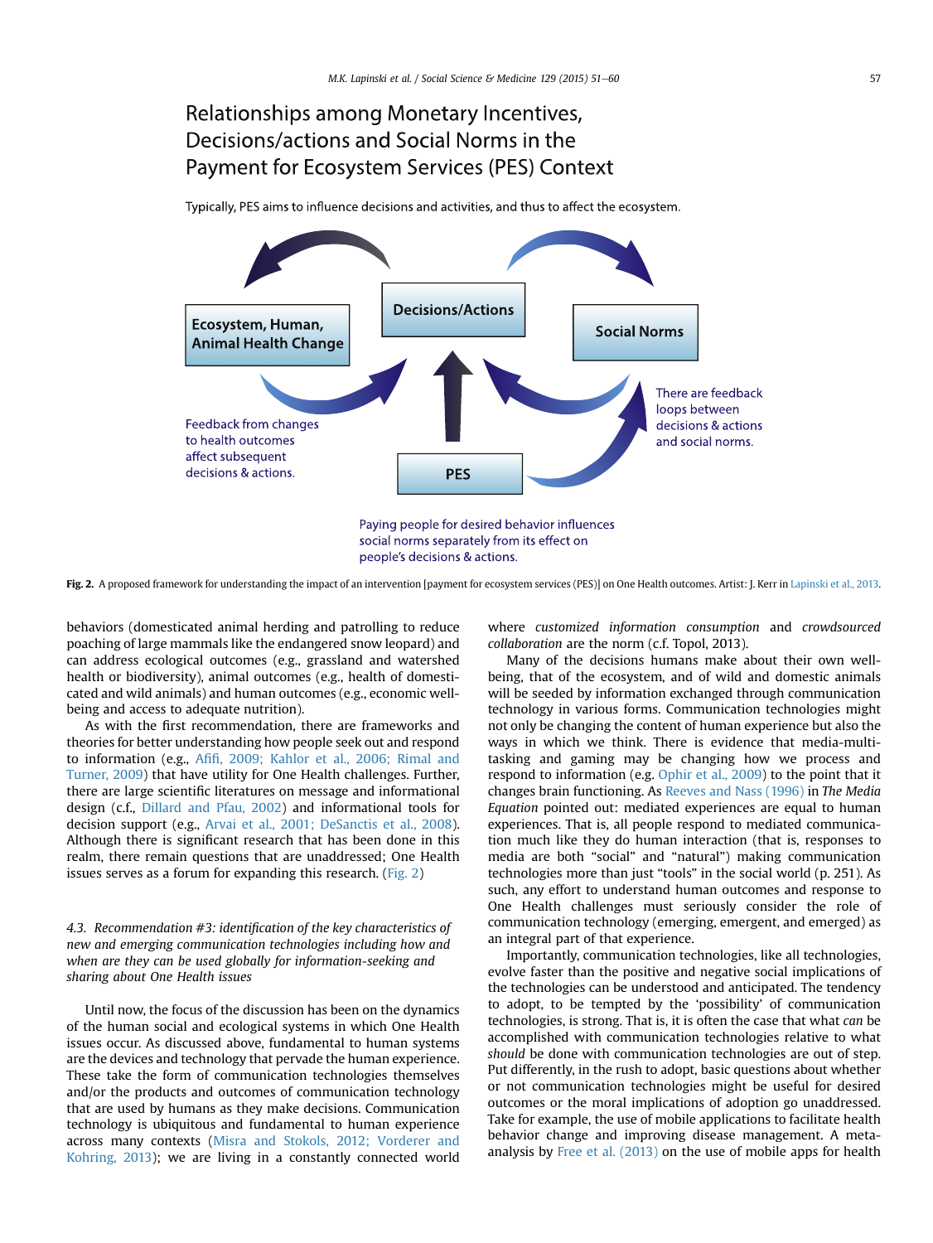# <span id="page-6-0"></span>Relationships among Monetary Incentives, Decisions/actions and Social Norms in the Payment for Ecosystem Services (PES) Context

Typically, PES aims to influence decisions and activities, and thus to affect the ecosystem.



Fig. 2. A proposed framework for understanding the impact of an intervention [payment for ecosystem services (PES)] on One Health outcomes. Artist: J. Kerr in [Lapinski et al., 2013](#page-9-0).

behaviors (domesticated animal herding and patrolling to reduce poaching of large mammals like the endangered snow leopard) and can address ecological outcomes (e.g., grassland and watershed health or biodiversity), animal outcomes (e.g., health of domesticated and wild animals) and human outcomes (e.g., economic wellbeing and access to adequate nutrition).

As with the first recommendation, there are frameworks and theories for better understanding how people seek out and respond to information (e.g., Afifi[, 2009; Kahlor et al., 2006; Rimal and](#page-8-0) [Turner, 2009](#page-8-0)) that have utility for One Health challenges. Further, there are large scientific literatures on message and informational design (c.f., [Dillard and Pfau, 2002\)](#page-8-0) and informational tools for decision support (e.g., [Arvai et al., 2001; DeSanctis et al., 2008\)](#page-8-0). Although there is significant research that has been done in this realm, there remain questions that are unaddressed; One Health issues serves as a forum for expanding this research. (Fig. 2)

# 4.3. Recommendation #3: identification of the key characteristics of new and emerging communication technologies including how and when are they can be used globally for information-seeking and sharing about One Health issues

Until now, the focus of the discussion has been on the dynamics of the human social and ecological systems in which One Health issues occur. As discussed above, fundamental to human systems are the devices and technology that pervade the human experience. These take the form of communication technologies themselves and/or the products and outcomes of communication technology that are used by humans as they make decisions. Communication technology is ubiquitous and fundamental to human experience across many contexts [\(Misra and Stokols, 2012; Vorderer and](#page-9-0) [Kohring, 2013](#page-9-0)); we are living in a constantly connected world where customized information consumption and crowdsourced collaboration are the norm (c.f. Topol, 2013).

Many of the decisions humans make about their own wellbeing, that of the ecosystem, and of wild and domestic animals will be seeded by information exchanged through communication technology in various forms. Communication technologies might not only be changing the content of human experience but also the ways in which we think. There is evidence that media-multitasking and gaming may be changing how we process and respond to information (e.g. [Ophir et al., 2009](#page-9-0)) to the point that it changes brain functioning. As [Reeves and Nass \(1996\)](#page-9-0) in The Media Equation pointed out: mediated experiences are equal to human experiences. That is, all people respond to mediated communication much like they do human interaction (that is, responses to media are both "social" and "natural") making communication technologies more than just "tools" in the social world (p. 251). As such, any effort to understand human outcomes and response to One Health challenges must seriously consider the role of communication technology (emerging, emergent, and emerged) as an integral part of that experience.

Importantly, communication technologies, like all technologies, evolve faster than the positive and negative social implications of the technologies can be understood and anticipated. The tendency to adopt, to be tempted by the 'possibility' of communication technologies, is strong. That is, it is often the case that what can be accomplished with communication technologies relative to what should be done with communication technologies are out of step. Put differently, in the rush to adopt, basic questions about whether or not communication technologies might be useful for desired outcomes or the moral implications of adoption go unaddressed. Take for example, the use of mobile applications to facilitate health behavior change and improving disease management. A metaanalysis by [Free et al. \(2013\)](#page-9-0) on the use of mobile apps for health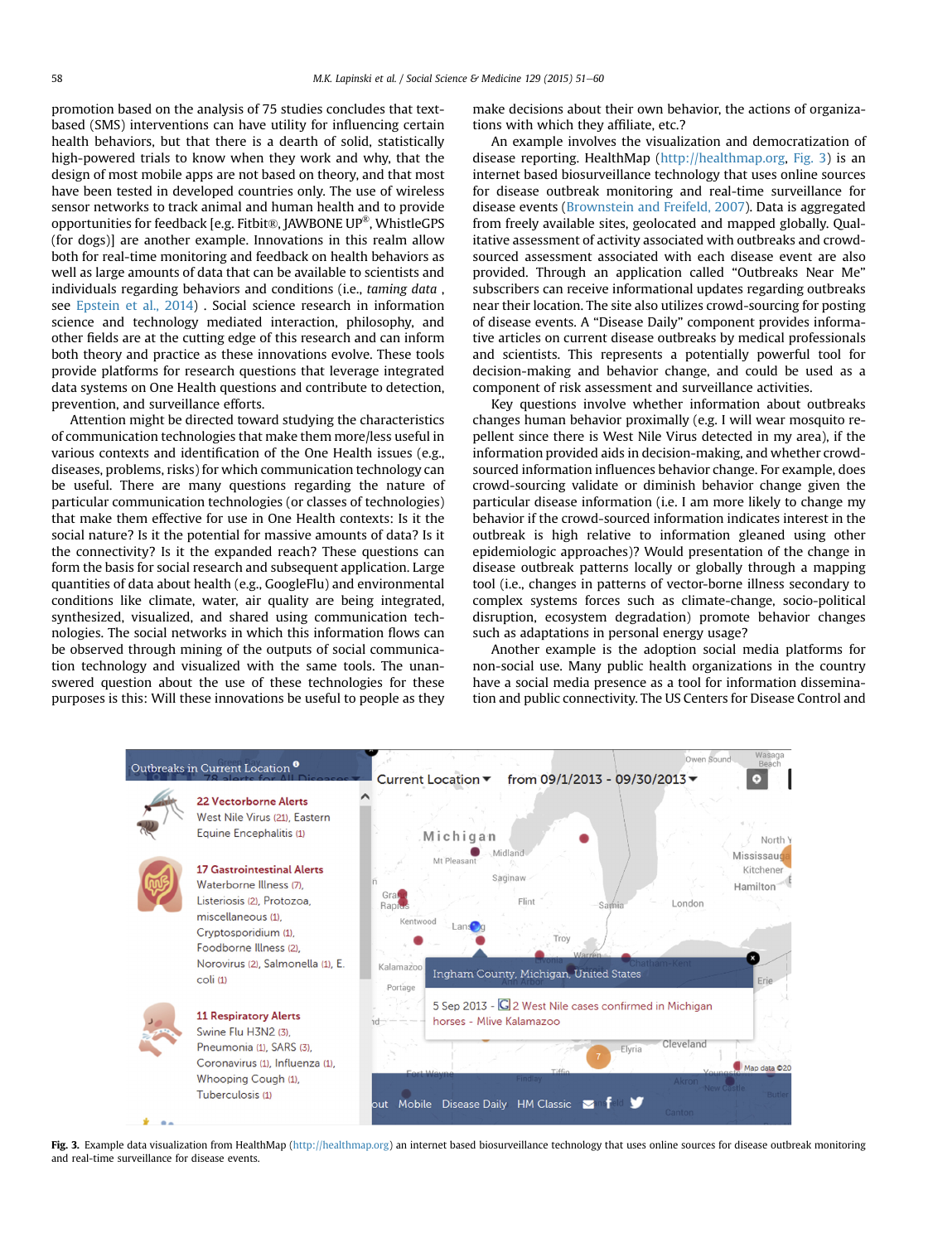promotion based on the analysis of 75 studies concludes that textbased (SMS) interventions can have utility for influencing certain health behaviors, but that there is a dearth of solid, statistically high-powered trials to know when they work and why, that the design of most mobile apps are not based on theory, and that most have been tested in developed countries only. The use of wireless sensor networks to track animal and human health and to provide opportunities for feedback [e.g. Fitbit®, JAWBONE UP®, WhistleGPS (for dogs)] are another example. Innovations in this realm allow both for real-time monitoring and feedback on health behaviors as well as large amounts of data that can be available to scientists and individuals regarding behaviors and conditions (i.e., taming data , see [Epstein et al., 2014](#page-8-0)) . Social science research in information science and technology mediated interaction, philosophy, and other fields are at the cutting edge of this research and can inform both theory and practice as these innovations evolve. These tools provide platforms for research questions that leverage integrated data systems on One Health questions and contribute to detection, prevention, and surveillance efforts.

Attention might be directed toward studying the characteristics of communication technologies that make them more/less useful in various contexts and identification of the One Health issues (e.g., diseases, problems, risks) for which communication technology can be useful. There are many questions regarding the nature of particular communication technologies (or classes of technologies) that make them effective for use in One Health contexts: Is it the social nature? Is it the potential for massive amounts of data? Is it the connectivity? Is it the expanded reach? These questions can form the basis for social research and subsequent application. Large quantities of data about health (e.g., GoogleFlu) and environmental conditions like climate, water, air quality are being integrated, synthesized, visualized, and shared using communication technologies. The social networks in which this information flows can be observed through mining of the outputs of social communication technology and visualized with the same tools. The unanswered question about the use of these technologies for these purposes is this: Will these innovations be useful to people as they make decisions about their own behavior, the actions of organizations with which they affiliate, etc.?

An example involves the visualization and democratization of disease reporting. HealthMap (<http://healthmap.org>, Fig. 3) is an internet based biosurveillance technology that uses online sources for disease outbreak monitoring and real-time surveillance for disease events ([Brownstein and Freifeld, 2007\)](#page-8-0). Data is aggregated from freely available sites, geolocated and mapped globally. Qualitative assessment of activity associated with outbreaks and crowdsourced assessment associated with each disease event are also provided. Through an application called "Outbreaks Near Me" subscribers can receive informational updates regarding outbreaks near their location. The site also utilizes crowd-sourcing for posting of disease events. A "Disease Daily" component provides informative articles on current disease outbreaks by medical professionals and scientists. This represents a potentially powerful tool for decision-making and behavior change, and could be used as a component of risk assessment and surveillance activities.

Key questions involve whether information about outbreaks changes human behavior proximally (e.g. I will wear mosquito repellent since there is West Nile Virus detected in my area), if the information provided aids in decision-making, and whether crowdsourced information influences behavior change. For example, does crowd-sourcing validate or diminish behavior change given the particular disease information (i.e. I am more likely to change my behavior if the crowd-sourced information indicates interest in the outbreak is high relative to information gleaned using other epidemiologic approaches)? Would presentation of the change in disease outbreak patterns locally or globally through a mapping tool (i.e., changes in patterns of vector-borne illness secondary to complex systems forces such as climate-change, socio-political disruption, ecosystem degradation) promote behavior changes such as adaptations in personal energy usage?

Another example is the adoption social media platforms for non-social use. Many public health organizations in the country have a social media presence as a tool for information dissemination and public connectivity. The US Centers for Disease Control and



Fig. 3. Example data visualization from HealthMap [\(http://healthmap.org](http://healthmap.org)) an internet based biosurveillance technology that uses online sources for disease outbreak monitoring and real-time surveillance for disease events.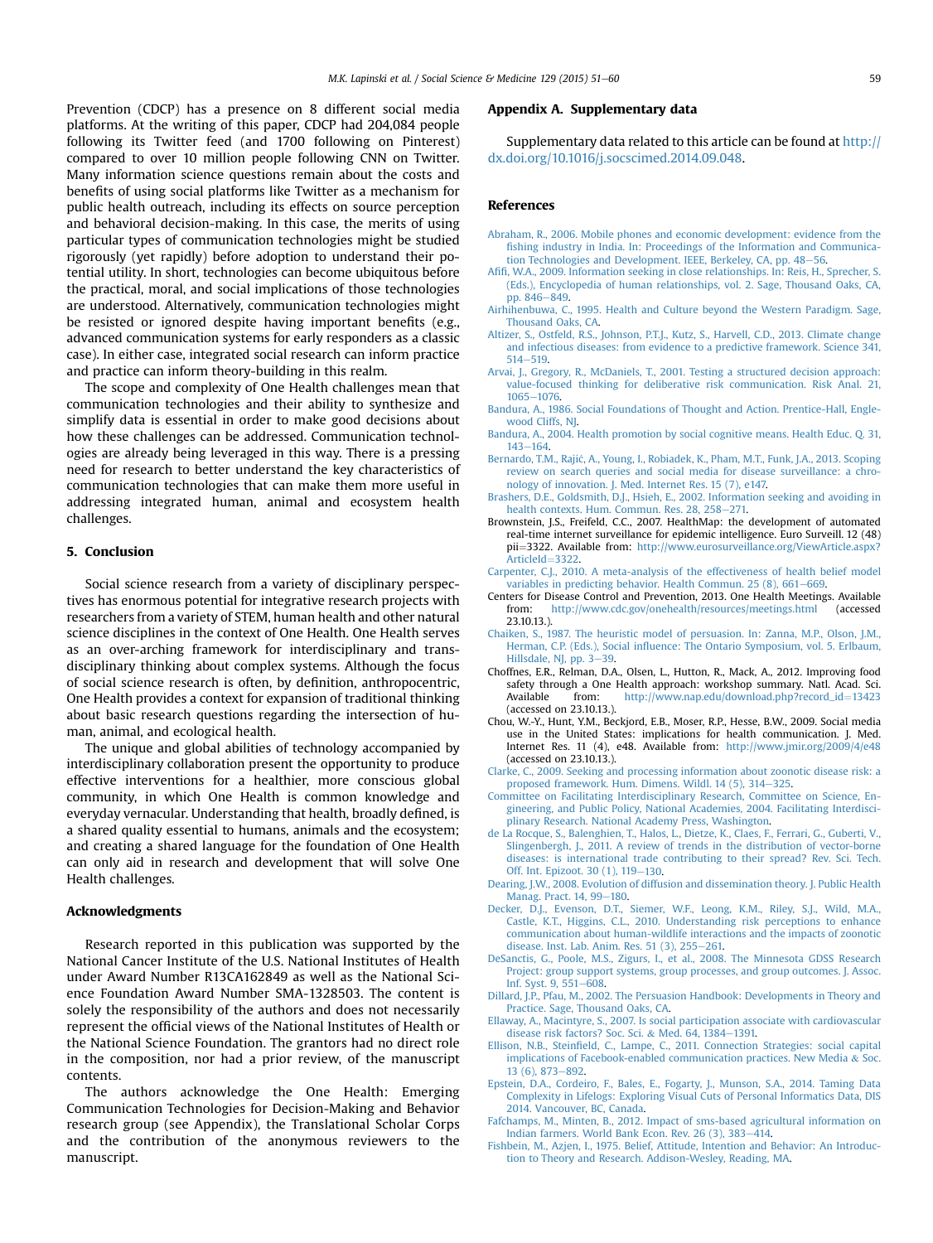<span id="page-8-0"></span>Prevention (CDCP) has a presence on 8 different social media platforms. At the writing of this paper, CDCP had 204,084 people following its Twitter feed (and 1700 following on Pinterest) compared to over 10 million people following CNN on Twitter. Many information science questions remain about the costs and benefits of using social platforms like Twitter as a mechanism for public health outreach, including its effects on source perception and behavioral decision-making. In this case, the merits of using particular types of communication technologies might be studied rigorously (yet rapidly) before adoption to understand their potential utility. In short, technologies can become ubiquitous before the practical, moral, and social implications of those technologies are understood. Alternatively, communication technologies might be resisted or ignored despite having important benefits (e.g., advanced communication systems for early responders as a classic case). In either case, integrated social research can inform practice and practice can inform theory-building in this realm.

The scope and complexity of One Health challenges mean that communication technologies and their ability to synthesize and simplify data is essential in order to make good decisions about how these challenges can be addressed. Communication technologies are already being leveraged in this way. There is a pressing need for research to better understand the key characteristics of communication technologies that can make them more useful in addressing integrated human, animal and ecosystem health challenges.

### 5. Conclusion

Social science research from a variety of disciplinary perspectives has enormous potential for integrative research projects with researchers from a variety of STEM, human health and other natural science disciplines in the context of One Health. One Health serves as an over-arching framework for interdisciplinary and transdisciplinary thinking about complex systems. Although the focus of social science research is often, by definition, anthropocentric, One Health provides a context for expansion of traditional thinking about basic research questions regarding the intersection of human, animal, and ecological health.

The unique and global abilities of technology accompanied by interdisciplinary collaboration present the opportunity to produce effective interventions for a healthier, more conscious global community, in which One Health is common knowledge and everyday vernacular. Understanding that health, broadly defined, is a shared quality essential to humans, animals and the ecosystem; and creating a shared language for the foundation of One Health can only aid in research and development that will solve One Health challenges.

#### Acknowledgments

Research reported in this publication was supported by the National Cancer Institute of the U.S. National Institutes of Health under Award Number R13CA162849 as well as the National Science Foundation Award Number SMA-1328503. The content is solely the responsibility of the authors and does not necessarily represent the official views of the National Institutes of Health or the National Science Foundation. The grantors had no direct role in the composition, nor had a prior review, of the manuscript contents.

The authors acknowledge the One Health: Emerging Communication Technologies for Decision-Making and Behavior research group (see Appendix), the Translational Scholar Corps and the contribution of the anonymous reviewers to the manuscript.

#### Appendix A. Supplementary data

Supplementary data related to this article can be found at [http://](http://dx.doi.org/10.1016/j.socscimed.2014.09.048) [dx.doi.org/10.1016/j.socscimed.2014.09.048.](http://dx.doi.org/10.1016/j.socscimed.2014.09.048)

#### References

- [Abraham, R., 2006. Mobile phones and economic development: evidence from the](http://refhub.elsevier.com/S0277-9536(14)00615-7/sref1) fi[shing industry in India. In: Proceedings of the Information and Communica](http://refhub.elsevier.com/S0277-9536(14)00615-7/sref1)[tion Technologies and Development. IEEE, Berkeley, CA, pp. 48](http://refhub.elsevier.com/S0277-9536(14)00615-7/sref1)-[56](http://refhub.elsevier.com/S0277-9536(14)00615-7/sref1).
- Afifi[, W.A., 2009. Information seeking in close relationships. In: Reis, H., Sprecher, S.](http://refhub.elsevier.com/S0277-9536(14)00615-7/sref2) [\(Eds.\), Encyclopedia of human relationships, vol. 2. Sage, Thousand Oaks, CA,](http://refhub.elsevier.com/S0277-9536(14)00615-7/sref2) [pp. 846](http://refhub.elsevier.com/S0277-9536(14)00615-7/sref2)-[849.](http://refhub.elsevier.com/S0277-9536(14)00615-7/sref2)
- [Airhihenbuwa, C., 1995. Health and Culture beyond the Western Paradigm. Sage,](http://refhub.elsevier.com/S0277-9536(14)00615-7/sref3) [Thousand Oaks, CA.](http://refhub.elsevier.com/S0277-9536(14)00615-7/sref3)
- [Altizer, S., Ostfeld, R.S., Johnson, P.T.J., Kutz, S., Harvell, C.D., 2013. Climate change](http://refhub.elsevier.com/S0277-9536(14)00615-7/sref4) [and infectious diseases: from evidence to a predictive framework. Science 341,](http://refhub.elsevier.com/S0277-9536(14)00615-7/sref4)  $514 - 519.$  $514 - 519.$  $514 - 519.$
- [Arvai, J., Gregory, R., McDaniels, T., 2001. Testing a structured decision approach:](http://refhub.elsevier.com/S0277-9536(14)00615-7/sref5) [value-focused thinking for deliberative risk communication. Risk Anal. 21,](http://refhub.elsevier.com/S0277-9536(14)00615-7/sref5) [1065](http://refhub.elsevier.com/S0277-9536(14)00615-7/sref5)-[1076](http://refhub.elsevier.com/S0277-9536(14)00615-7/sref5)
- [Bandura, A., 1986. Social Foundations of Thought and Action. Prentice-Hall, Engle](http://refhub.elsevier.com/S0277-9536(14)00615-7/sref6)[wood Cliffs, NJ](http://refhub.elsevier.com/S0277-9536(14)00615-7/sref6)
- [Bandura, A., 2004. Health promotion by social cognitive means. Health Educ. Q. 31,](http://refhub.elsevier.com/S0277-9536(14)00615-7/sref7)  $143 - 164.$  $143 - 164.$  $143 - 164.$  $143 - 164.$
- [Bernardo, T.M., Raji](http://refhub.elsevier.com/S0277-9536(14)00615-7/sref8)ć[, A., Young, I., Robiadek, K., Pham, M.T., Funk, J.A., 2013. Scoping](http://refhub.elsevier.com/S0277-9536(14)00615-7/sref8) [review on search queries and social media for disease surveillance: a chro](http://refhub.elsevier.com/S0277-9536(14)00615-7/sref8)[nology of innovation. J. Med. Internet Res. 15 \(7\), e147.](http://refhub.elsevier.com/S0277-9536(14)00615-7/sref8)
- [Brashers, D.E., Goldsmith, D.J., Hsieh, E., 2002. Information seeking and avoiding in](http://refhub.elsevier.com/S0277-9536(14)00615-7/sref9) [health contexts. Hum. Commun. Res. 28, 258](http://refhub.elsevier.com/S0277-9536(14)00615-7/sref9)-[271.](http://refhub.elsevier.com/S0277-9536(14)00615-7/sref9)
- Brownstein, J.S., Freifeld, C.C., 2007. HealthMap: the development of automated real-time internet surveillance for epidemic intelligence. Euro Surveill. 12 (48) pii=3322. Available from: [http://www.eurosurveillance.org/ViewArticle.aspx?](http://www.eurosurveillance.org/ViewArticle.aspx?ArticleId=3322) [ArticleId](http://www.eurosurveillance.org/ViewArticle.aspx?ArticleId=3322)=[3322.](http://www.eurosurveillance.org/ViewArticle.aspx?ArticleId=3322)
- [Carpenter, C.J., 2010. A meta-analysis of the effectiveness of health belief model](http://refhub.elsevier.com/S0277-9536(14)00615-7/sref11) [variables in predicting behavior. Health Commun. 25 \(8\), 661](http://refhub.elsevier.com/S0277-9536(14)00615-7/sref11)-[669.](http://refhub.elsevier.com/S0277-9536(14)00615-7/sref11)
- Centers for Disease Control and Prevention, 2013. One Health Meetings. Available from: <http://www.cdc.gov/onehealth/resources/meetings.html> (accessed 23.10.13.).
- [Chaiken, S., 1987. The heuristic model of persuasion. In: Zanna, M.P., Olson, J.M.,](http://refhub.elsevier.com/S0277-9536(14)00615-7/sref13) Herman, C.P. (Eds.), Social infl[uence: The Ontario Symposium, vol. 5. Erlbaum,](http://refhub.elsevier.com/S0277-9536(14)00615-7/sref13) [Hillsdale, NJ, pp. 3](http://refhub.elsevier.com/S0277-9536(14)00615-7/sref13)-[39.](http://refhub.elsevier.com/S0277-9536(14)00615-7/sref13)
- Choffnes, E.R., Relman, D.A., Olsen, L., Hutton, R., Mack, A., 2012. Improving food safety through a One Health approach: workshop summary. Natl. Acad. Sci.<br>Available from: http://www.nap.edu/download.php?record id=13423 [http://www.nap.edu/download.php?record\\_id](http://www.nap.edu/download.php?record_id=13423)=[13423](http://www.nap.edu/download.php?record_id=13423) (accessed on 23.10.13.).
- Chou, W.-Y., Hunt, Y.M., Beckjord, E.B., Moser, R.P., Hesse, B.W., 2009. Social media use in the United States: implications for health communication. J. Med. Internet Res. 11 (4), e48. Available from: <http://www.jmir.org/2009/4/e48> (accessed on 23.10.13.).
- [Clarke, C., 2009. Seeking and processing information about zoonotic disease risk: a](http://refhub.elsevier.com/S0277-9536(14)00615-7/sref16) [proposed framework. Hum. Dimens. Wildl. 14 \(5\), 314](http://refhub.elsevier.com/S0277-9536(14)00615-7/sref16)e[325](http://refhub.elsevier.com/S0277-9536(14)00615-7/sref16).
- [Committee on Facilitating Interdisciplinary Research, Committee on Science, En](http://refhub.elsevier.com/S0277-9536(14)00615-7/sref17)[gineering, and Public Policy, National Academies, 2004. Facilitating Interdisci](http://refhub.elsevier.com/S0277-9536(14)00615-7/sref17)[plinary Research. National Academy Press, Washington](http://refhub.elsevier.com/S0277-9536(14)00615-7/sref17).
- de La Rocque, S., Balenghien, T., Halos, L., Dietze, K., Claes, F., Ferrari, G., Guberti, V. [Slingenbergh, J., 2011. A review of trends in the distribution of vector-borne](http://refhub.elsevier.com/S0277-9536(14)00615-7/sref18) [diseases: is international trade contributing to their spread? Rev. Sci. Tech.](http://refhub.elsevier.com/S0277-9536(14)00615-7/sref18) [Off. Int. Epizoot. 30 \(1\), 119](http://refhub.elsevier.com/S0277-9536(14)00615-7/sref18)-[130](http://refhub.elsevier.com/S0277-9536(14)00615-7/sref18).
- [Dearing, J.W., 2008. Evolution of diffusion and dissemination theory. J. Public Health](http://refhub.elsevier.com/S0277-9536(14)00615-7/sref75) Manag. Pract.  $14, 99-180$  $14, 99-180$ .
- [Decker, D.J., Evenson, D.T., Siemer, W.F., Leong, K.M., Riley, S.J., Wild, M.A.,](http://refhub.elsevier.com/S0277-9536(14)00615-7/sref19) [Castle, K.T., Higgins, C.L., 2010. Understanding risk perceptions to enhance](http://refhub.elsevier.com/S0277-9536(14)00615-7/sref19) [communication about human-wildlife interactions and the impacts of zoonotic](http://refhub.elsevier.com/S0277-9536(14)00615-7/sref19) [disease. Inst. Lab. Anim. Res. 51 \(3\), 255](http://refhub.elsevier.com/S0277-9536(14)00615-7/sref19)-[261.](http://refhub.elsevier.com/S0277-9536(14)00615-7/sref19)
- [DeSanctis, G., Poole, M.S., Zigurs, I., et al., 2008. The Minnesota GDSS Research](http://refhub.elsevier.com/S0277-9536(14)00615-7/sref20) [Project: group support systems, group processes, and group outcomes. J. Assoc.](http://refhub.elsevier.com/S0277-9536(14)00615-7/sref20) Inf. Syst.  $9.551 - 608$ .
- [Dillard, J.P., Pfau, M., 2002. The Persuasion Handbook: Developments in Theory and](http://refhub.elsevier.com/S0277-9536(14)00615-7/sref21) [Practice. Sage, Thousand Oaks, CA](http://refhub.elsevier.com/S0277-9536(14)00615-7/sref21).
- [Ellaway, A., Macintyre, S., 2007. Is social participation associate with cardiovascular](http://refhub.elsevier.com/S0277-9536(14)00615-7/sref22) [disease risk factors? Soc. Sci.](http://refhub.elsevier.com/S0277-9536(14)00615-7/sref22) & [Med. 64, 1384](http://refhub.elsevier.com/S0277-9536(14)00615-7/sref22)-[1391.](http://refhub.elsevier.com/S0277-9536(14)00615-7/sref22)
- Ellison, N.B., Steinfi[eld, C., Lampe, C., 2011. Connection Strategies: social capital](http://refhub.elsevier.com/S0277-9536(14)00615-7/sref23) [implications of Facebook-enabled communication practices. New Media](http://refhub.elsevier.com/S0277-9536(14)00615-7/sref23) & [Soc.](http://refhub.elsevier.com/S0277-9536(14)00615-7/sref23) [13 \(6\), 873](http://refhub.elsevier.com/S0277-9536(14)00615-7/sref23)-[892.](http://refhub.elsevier.com/S0277-9536(14)00615-7/sref23)
- [Epstein, D.A., Cordeiro, F., Bales, E., Fogarty, J., Munson, S.A., 2014. Taming Data](http://refhub.elsevier.com/S0277-9536(14)00615-7/sref76) [Complexity in Lifelogs: Exploring Visual Cuts of Personal Informatics Data, DIS](http://refhub.elsevier.com/S0277-9536(14)00615-7/sref76) [2014. Vancouver, BC, Canada.](http://refhub.elsevier.com/S0277-9536(14)00615-7/sref76)
- [Fafchamps, M., Minten, B., 2012. Impact of sms-based agricultural information on](http://refhub.elsevier.com/S0277-9536(14)00615-7/sref24) [Indian farmers. World Bank Econ. Rev. 26 \(3\), 383](http://refhub.elsevier.com/S0277-9536(14)00615-7/sref24)-[414](http://refhub.elsevier.com/S0277-9536(14)00615-7/sref24).
- [Fishbein, M., Azjen, I., 1975. Belief, Attitude, Intention and Behavior: An Introduc](http://refhub.elsevier.com/S0277-9536(14)00615-7/sref25)[tion to Theory and Research. Addison-Wesley, Reading, MA](http://refhub.elsevier.com/S0277-9536(14)00615-7/sref25).